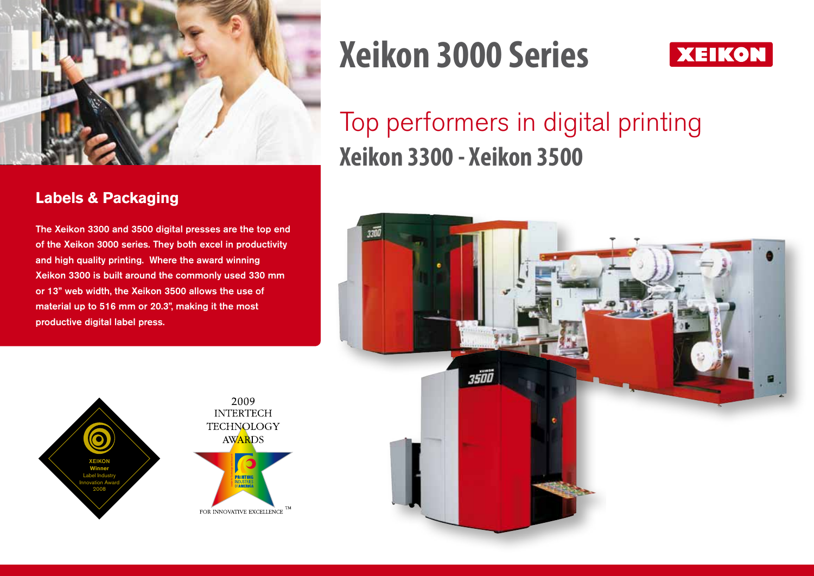

#### **Labels & Packaging**

The Xeikon 3300 and 3500 digital presses are the top end of the Xeikon 3000 series. They both excel in productivity and high quality printing. Where the award winning Xeikon 3300 is built around the commonly used 330 mm or 13" web width, the Xeikon 3500 allows the use of material up to 516 mm or 20.3", making it the most productive digital label press.

2009

**AWARDS** 

PRINTING DUSTRIES<br>America

# **Xeikon 3000 Series**



## Top performers in digital printing **Xeikon 3300 - Xeikon 3500**